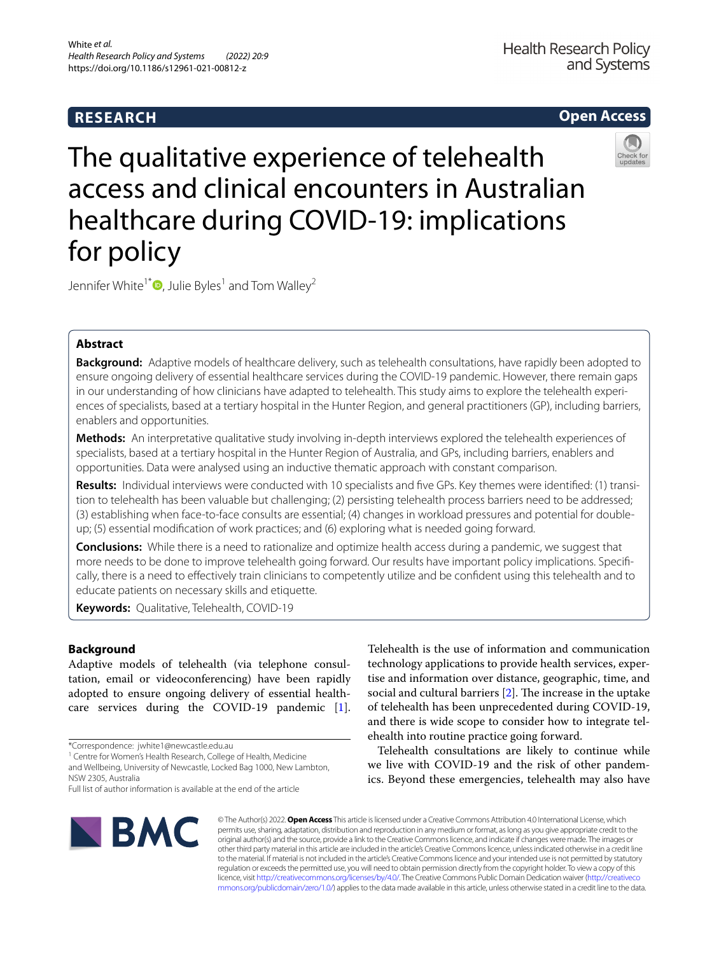# **RESEARCH**

# **Open Access**



# The qualitative experience of telehealth access and clinical encounters in Australian healthcare during COVID-19: implications for policy

Jennifer White<sup>1\*</sup> $\bullet$ [,](http://orcid.org/0000-0003-1235-0916) Julie Byles<sup>1</sup> and Tom Walley<sup>2</sup>

# **Abstract**

**Background:** Adaptive models of healthcare delivery, such as telehealth consultations, have rapidly been adopted to ensure ongoing delivery of essential healthcare services during the COVID-19 pandemic. However, there remain gaps in our understanding of how clinicians have adapted to telehealth. This study aims to explore the telehealth experiences of specialists, based at a tertiary hospital in the Hunter Region, and general practitioners (GP), including barriers, enablers and opportunities.

**Methods:** An interpretative qualitative study involving in-depth interviews explored the telehealth experiences of specialists, based at a tertiary hospital in the Hunter Region of Australia, and GPs, including barriers, enablers and opportunities. Data were analysed using an inductive thematic approach with constant comparison.

**Results:** Individual interviews were conducted with 10 specialists and fve GPs. Key themes were identifed: (1) transition to telehealth has been valuable but challenging; (2) persisting telehealth process barriers need to be addressed; (3) establishing when face-to-face consults are essential; (4) changes in workload pressures and potential for doubleup; (5) essential modifcation of work practices; and (6) exploring what is needed going forward.

**Conclusions:** While there is a need to rationalize and optimize health access during a pandemic, we suggest that more needs to be done to improve telehealth going forward. Our results have important policy implications. Specifcally, there is a need to efectively train clinicians to competently utilize and be confdent using this telehealth and to educate patients on necessary skills and etiquette.

**Keywords:** Qualitative, Telehealth, COVID-19

# **Background**

Adaptive models of telehealth (via telephone consultation, email or videoconferencing) have been rapidly adopted to ensure ongoing delivery of essential healthcare services during the COVID-19 pandemic [\[1](#page-8-0)].

<sup>1</sup> Centre for Women's Health Research, College of Health, Medicine and Wellbeing, University of Newcastle, Locked Bag 1000, New Lambton,

NSW 2305, Australia

Telehealth is the use of information and communication technology applications to provide health services, expertise and information over distance, geographic, time, and social and cultural barriers  $[2]$ . The increase in the uptake of telehealth has been unprecedented during COVID-19, and there is wide scope to consider how to integrate telehealth into routine practice going forward.

Telehealth consultations are likely to continue while we live with COVID-19 and the risk of other pandemics. Beyond these emergencies, telehealth may also have



© The Author(s) 2022. **Open Access** This article is licensed under a Creative Commons Attribution 4.0 International License, which permits use, sharing, adaptation, distribution and reproduction in any medium or format, as long as you give appropriate credit to the original author(s) and the source, provide a link to the Creative Commons licence, and indicate if changes were made. The images or other third party material in this article are included in the article's Creative Commons licence, unless indicated otherwise in a credit line to the material. If material is not included in the article's Creative Commons licence and your intended use is not permitted by statutory regulation or exceeds the permitted use, you will need to obtain permission directly from the copyright holder. To view a copy of this licence, visit [http://creativecommons.org/licenses/by/4.0/.](http://creativecommons.org/licenses/by/4.0/) The Creative Commons Public Domain Dedication waiver ([http://creativeco](http://creativecommons.org/publicdomain/zero/1.0/) [mmons.org/publicdomain/zero/1.0/](http://creativecommons.org/publicdomain/zero/1.0/)) applies to the data made available in this article, unless otherwise stated in a credit line to the data.

<sup>\*</sup>Correspondence: jwhite1@newcastle.edu.au

Full list of author information is available at the end of the article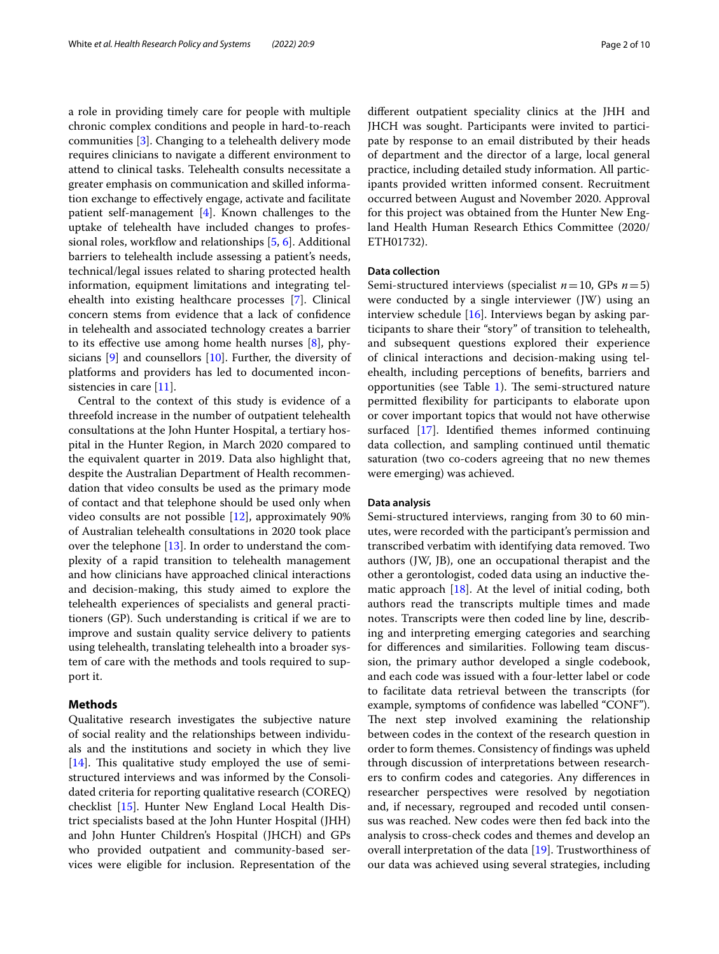a role in providing timely care for people with multiple chronic complex conditions and people in hard-to-reach communities [\[3\]](#page-9-0). Changing to a telehealth delivery mode requires clinicians to navigate a diferent environment to attend to clinical tasks. Telehealth consults necessitate a greater emphasis on communication and skilled information exchange to efectively engage, activate and facilitate patient self-management [\[4](#page-9-1)]. Known challenges to the uptake of telehealth have included changes to profes-sional roles, workflow and relationships [[5](#page-9-2), [6](#page-9-3)]. Additional barriers to telehealth include assessing a patient's needs, technical/legal issues related to sharing protected health information, equipment limitations and integrating telehealth into existing healthcare processes [[7\]](#page-9-4). Clinical concern stems from evidence that a lack of confdence in telehealth and associated technology creates a barrier to its efective use among home health nurses [[8\]](#page-9-5), physicians [[9](#page-9-6)] and counsellors [\[10](#page-9-7)]. Further, the diversity of platforms and providers has led to documented inconsistencies in care [[11\]](#page-9-8).

Central to the context of this study is evidence of a threefold increase in the number of outpatient telehealth consultations at the John Hunter Hospital, a tertiary hospital in the Hunter Region, in March 2020 compared to the equivalent quarter in 2019. Data also highlight that, despite the Australian Department of Health recommendation that video consults be used as the primary mode of contact and that telephone should be used only when video consults are not possible [\[12](#page-9-9)], approximately 90% of Australian telehealth consultations in 2020 took place over the telephone [\[13\]](#page-9-10). In order to understand the complexity of a rapid transition to telehealth management and how clinicians have approached clinical interactions and decision-making, this study aimed to explore the telehealth experiences of specialists and general practitioners (GP). Such understanding is critical if we are to improve and sustain quality service delivery to patients using telehealth, translating telehealth into a broader system of care with the methods and tools required to support it.

#### **Methods**

Qualitative research investigates the subjective nature of social reality and the relationships between individuals and the institutions and society in which they live  $[14]$  $[14]$ . This qualitative study employed the use of semistructured interviews and was informed by the Consolidated criteria for reporting qualitative research (COREQ) checklist [\[15](#page-9-12)]. Hunter New England Local Health District specialists based at the John Hunter Hospital (JHH) and John Hunter Children's Hospital (JHCH) and GPs who provided outpatient and community-based services were eligible for inclusion. Representation of the diferent outpatient speciality clinics at the JHH and JHCH was sought. Participants were invited to participate by response to an email distributed by their heads of department and the director of a large, local general practice, including detailed study information. All participants provided written informed consent. Recruitment occurred between August and November 2020. Approval for this project was obtained from the Hunter New England Health Human Research Ethics Committee (2020/ ETH01732).

## **Data collection**

Semi-structured interviews (specialist *n*=10, GPs *n*=5) were conducted by a single interviewer (JW) using an interview schedule [\[16](#page-9-13)]. Interviews began by asking participants to share their "story" of transition to telehealth, and subsequent questions explored their experience of clinical interactions and decision-making using telehealth, including perceptions of benefts, barriers and opportunities (see Table  $1$ ). The semi-structured nature permitted fexibility for participants to elaborate upon or cover important topics that would not have otherwise surfaced [\[17](#page-9-14)]. Identifed themes informed continuing data collection, and sampling continued until thematic saturation (two co-coders agreeing that no new themes were emerging) was achieved.

### **Data analysis**

Semi-structured interviews, ranging from 30 to 60 minutes, were recorded with the participant's permission and transcribed verbatim with identifying data removed. Two authors (JW, JB), one an occupational therapist and the other a gerontologist, coded data using an inductive thematic approach [[18\]](#page-9-15). At the level of initial coding, both authors read the transcripts multiple times and made notes. Transcripts were then coded line by line, describing and interpreting emerging categories and searching for diferences and similarities. Following team discussion, the primary author developed a single codebook, and each code was issued with a four-letter label or code to facilitate data retrieval between the transcripts (for example, symptoms of confdence was labelled "CONF"). The next step involved examining the relationship between codes in the context of the research question in order to form themes. Consistency of fndings was upheld through discussion of interpretations between researchers to confrm codes and categories. Any diferences in researcher perspectives were resolved by negotiation and, if necessary, regrouped and recoded until consensus was reached. New codes were then fed back into the analysis to cross-check codes and themes and develop an overall interpretation of the data [\[19](#page-9-16)]. Trustworthiness of our data was achieved using several strategies, including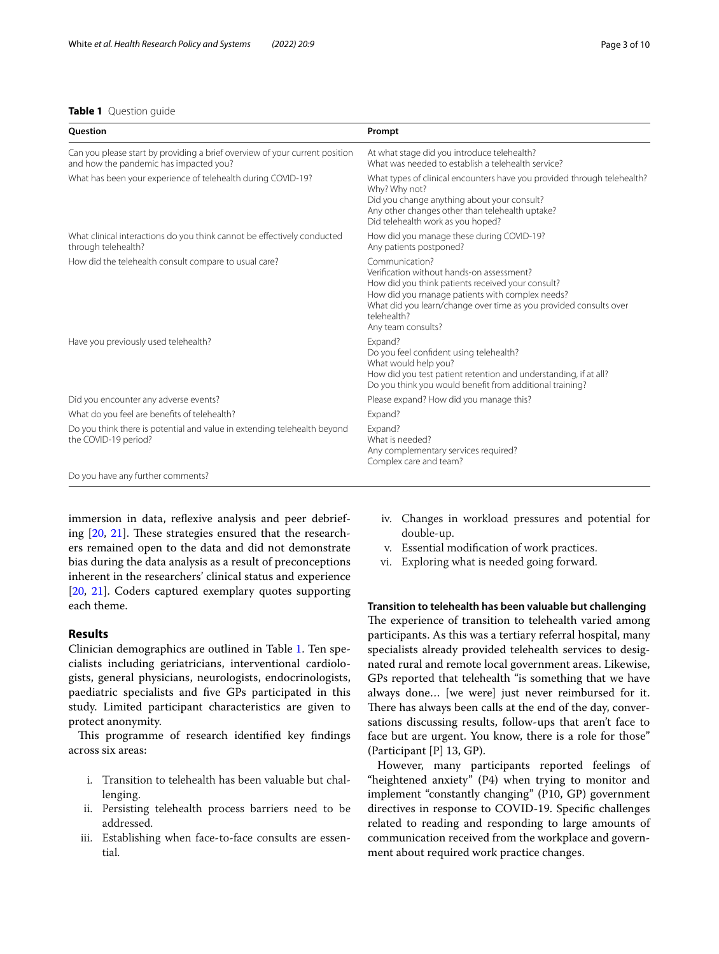## <span id="page-2-0"></span>**Table 1** Question guide

| Question                                                                                                              | Prompt                                                                                                                                                                                                                                                                        |
|-----------------------------------------------------------------------------------------------------------------------|-------------------------------------------------------------------------------------------------------------------------------------------------------------------------------------------------------------------------------------------------------------------------------|
| Can you please start by providing a brief overview of your current position<br>and how the pandemic has impacted you? | At what stage did you introduce telehealth?<br>What was needed to establish a telehealth service?                                                                                                                                                                             |
| What has been your experience of telehealth during COVID-19?                                                          | What types of clinical encounters have you provided through telehealth?<br>Why? Why not?<br>Did you change anything about your consult?<br>Any other changes other than telehealth uptake?<br>Did telehealth work as you hoped?                                               |
| What clinical interactions do you think cannot be effectively conducted<br>through telehealth?                        | How did you manage these during COVID-19?<br>Any patients postponed?                                                                                                                                                                                                          |
| How did the telehealth consult compare to usual care?                                                                 | Communication?<br>Verification without hands-on assessment?<br>How did you think patients received your consult?<br>How did you manage patients with complex needs?<br>What did you learn/change over time as you provided consults over<br>telehealth?<br>Any team consults? |
| Have you previously used telehealth?                                                                                  | Expand?<br>Do you feel confident using telehealth?<br>What would help you?<br>How did you test patient retention and understanding, if at all?<br>Do you think you would benefit from additional training?                                                                    |
| Did you encounter any adverse events?                                                                                 | Please expand? How did you manage this?                                                                                                                                                                                                                                       |
| What do you feel are benefits of telehealth?                                                                          | Expand?                                                                                                                                                                                                                                                                       |
| Do you think there is potential and value in extending telehealth beyond<br>the COVID-19 period?                      | Expand?<br>What is needed?<br>Any complementary services required?<br>Complex care and team?                                                                                                                                                                                  |
| Do you have any further comments?                                                                                     |                                                                                                                                                                                                                                                                               |

immersion in data, reflexive analysis and peer debriefing  $[20, 21]$  $[20, 21]$  $[20, 21]$ . These strategies ensured that the researchers remained open to the data and did not demonstrate bias during the data analysis as a result of preconceptions inherent in the researchers' clinical status and experience [[20,](#page-9-17) [21\]](#page-9-18). Coders captured exemplary quotes supporting each theme.

## **Results**

Clinician demographics are outlined in Table [1](#page-2-0). Ten specialists including geriatricians, interventional cardiologists, general physicians, neurologists, endocrinologists, paediatric specialists and fve GPs participated in this study. Limited participant characteristics are given to protect anonymity.

This programme of research identified key findings across six areas:

- i. Transition to telehealth has been valuable but challenging.
- ii. Persisting telehealth process barriers need to be addressed.
- iii. Establishing when face-to-face consults are essential.
- iv. Changes in workload pressures and potential for double-up.
- v. Essential modifcation of work practices.
- vi. Exploring what is needed going forward.

### **Transition to telehealth has been valuable but challenging**

The experience of transition to telehealth varied among participants. As this was a tertiary referral hospital, many specialists already provided telehealth services to designated rural and remote local government areas. Likewise, GPs reported that telehealth "is something that we have always done… [we were] just never reimbursed for it. There has always been calls at the end of the day, conversations discussing results, follow-ups that aren't face to face but are urgent. You know, there is a role for those" (Participant [P] 13, GP).

However, many participants reported feelings of "heightened anxiety" (P4) when trying to monitor and implement "constantly changing" (P10, GP) government directives in response to COVID-19. Specifc challenges related to reading and responding to large amounts of communication received from the workplace and government about required work practice changes.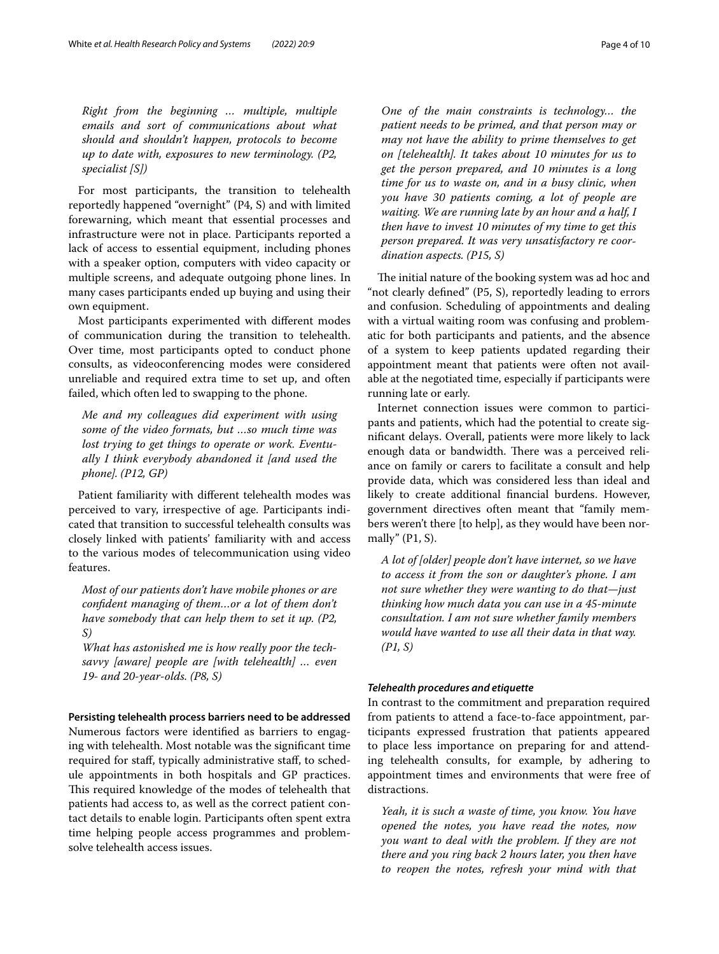*Right from the beginning … multiple, multiple emails and sort of communications about what should and shouldn't happen, protocols to become up to date with, exposures to new terminology. (P2, specialist [S])*

For most participants, the transition to telehealth reportedly happened "overnight" (P4, S) and with limited forewarning, which meant that essential processes and infrastructure were not in place. Participants reported a lack of access to essential equipment, including phones with a speaker option, computers with video capacity or multiple screens, and adequate outgoing phone lines. In many cases participants ended up buying and using their own equipment.

Most participants experimented with diferent modes of communication during the transition to telehealth. Over time, most participants opted to conduct phone consults, as videoconferencing modes were considered unreliable and required extra time to set up, and often failed, which often led to swapping to the phone.

*Me and my colleagues did experiment with using some of the video formats, but …so much time was lost trying to get things to operate or work. Eventually I think everybody abandoned it [and used the phone]. (P12, GP)*

Patient familiarity with diferent telehealth modes was perceived to vary, irrespective of age. Participants indicated that transition to successful telehealth consults was closely linked with patients' familiarity with and access to the various modes of telecommunication using video features.

*Most of our patients don't have mobile phones or are confdent managing of them…or a lot of them don't have somebody that can help them to set it up. (P2, S)*

*What has astonished me is how really poor the techsavvy [aware] people are [with telehealth] … even 19- and 20-year-olds. (P8, S)*

**Persisting telehealth process barriers need to be addressed** Numerous factors were identifed as barriers to engaging with telehealth. Most notable was the signifcant time required for staf, typically administrative staf, to schedule appointments in both hospitals and GP practices. This required knowledge of the modes of telehealth that patients had access to, as well as the correct patient contact details to enable login. Participants often spent extra time helping people access programmes and problemsolve telehealth access issues.

*One of the main constraints is technology… the patient needs to be primed, and that person may or may not have the ability to prime themselves to get on [telehealth]. It takes about 10 minutes for us to get the person prepared, and 10 minutes is a long time for us to waste on, and in a busy clinic, when you have 30 patients coming, a lot of people are waiting. We are running late by an hour and a half, I then have to invest 10 minutes of my time to get this person prepared. It was very unsatisfactory re coordination aspects. (P15, S)*

The initial nature of the booking system was ad hoc and "not clearly defned" (P5, S), reportedly leading to errors and confusion. Scheduling of appointments and dealing with a virtual waiting room was confusing and problematic for both participants and patients, and the absence of a system to keep patients updated regarding their appointment meant that patients were often not available at the negotiated time, especially if participants were running late or early.

Internet connection issues were common to participants and patients, which had the potential to create signifcant delays. Overall, patients were more likely to lack enough data or bandwidth. There was a perceived reliance on family or carers to facilitate a consult and help provide data, which was considered less than ideal and likely to create additional fnancial burdens. However, government directives often meant that "family members weren't there [to help], as they would have been normally" (P1, S).

*A lot of [older] people don't have internet, so we have to access it from the son or daughter's phone. I am not sure whether they were wanting to do that—just thinking how much data you can use in a 45-minute consultation. I am not sure whether family members would have wanted to use all their data in that way. (P1, S)*

#### *Telehealth procedures and etiquette*

In contrast to the commitment and preparation required from patients to attend a face-to-face appointment, participants expressed frustration that patients appeared to place less importance on preparing for and attending telehealth consults, for example, by adhering to appointment times and environments that were free of distractions.

*Yeah, it is such a waste of time, you know. You have opened the notes, you have read the notes, now you want to deal with the problem. If they are not there and you ring back 2 hours later, you then have to reopen the notes, refresh your mind with that*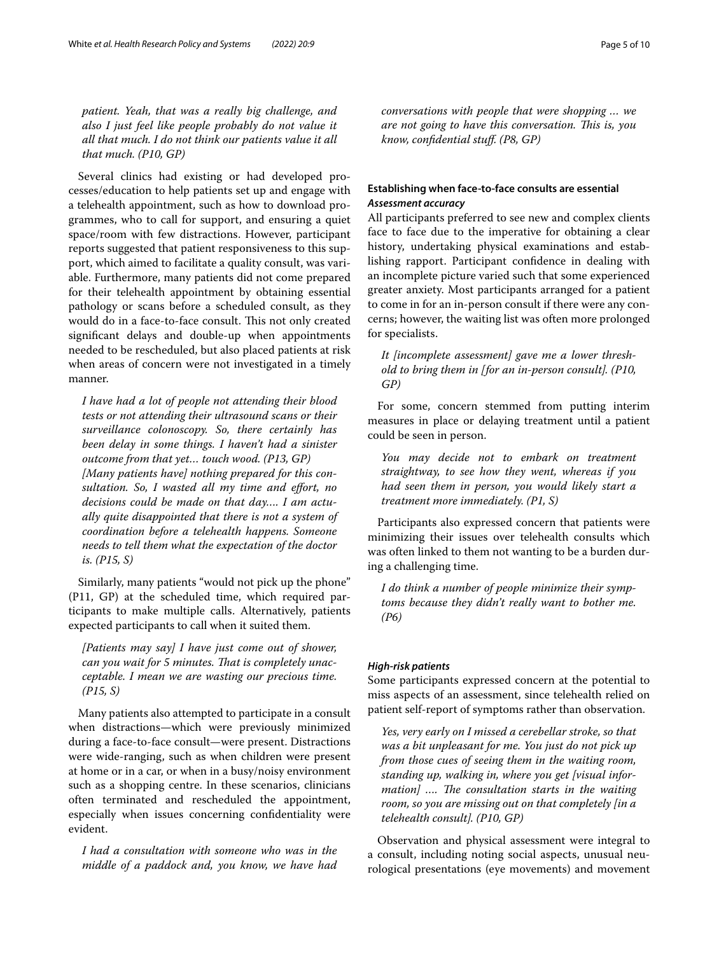*patient. Yeah, that was a really big challenge, and also I just feel like people probably do not value it all that much. I do not think our patients value it all that much. (P10, GP)*

Several clinics had existing or had developed processes/education to help patients set up and engage with a telehealth appointment, such as how to download programmes, who to call for support, and ensuring a quiet space/room with few distractions. However, participant reports suggested that patient responsiveness to this support, which aimed to facilitate a quality consult, was variable. Furthermore, many patients did not come prepared for their telehealth appointment by obtaining essential pathology or scans before a scheduled consult, as they would do in a face-to-face consult. This not only created signifcant delays and double-up when appointments needed to be rescheduled, but also placed patients at risk when areas of concern were not investigated in a timely manner.

*I have had a lot of people not attending their blood tests or not attending their ultrasound scans or their surveillance colonoscopy. So, there certainly has been delay in some things. I haven't had a sinister outcome from that yet… touch wood. (P13, GP) [Many patients have] nothing prepared for this consultation. So, I wasted all my time and efort, no decisions could be made on that day…. I am actually quite disappointed that there is not a system of coordination before a telehealth happens. Someone needs to tell them what the expectation of the doctor is. (P15, S)*

Similarly, many patients "would not pick up the phone" (P11, GP) at the scheduled time, which required participants to make multiple calls. Alternatively, patients expected participants to call when it suited them.

*[Patients may say] I have just come out of shower, can you wait for 5 minutes. Tat is completely unacceptable. I mean we are wasting our precious time. (P15, S)*

Many patients also attempted to participate in a consult when distractions—which were previously minimized during a face-to-face consult—were present. Distractions were wide-ranging, such as when children were present at home or in a car, or when in a busy/noisy environment such as a shopping centre. In these scenarios, clinicians often terminated and rescheduled the appointment, especially when issues concerning confdentiality were evident.

*I had a consultation with someone who was in the middle of a paddock and, you know, we have had*  *conversations with people that were shopping … we are not going to have this conversation. Tis is, you know, confdential stuf. (P8, GP)*

# **Establishing when face‑to‑face consults are essential** *Assessment accuracy*

All participants preferred to see new and complex clients face to face due to the imperative for obtaining a clear history, undertaking physical examinations and establishing rapport. Participant confdence in dealing with an incomplete picture varied such that some experienced greater anxiety. Most participants arranged for a patient to come in for an in-person consult if there were any concerns; however, the waiting list was often more prolonged for specialists.

*It [incomplete assessment] gave me a lower threshold to bring them in [for an in-person consult]. (P10, GP)*

For some, concern stemmed from putting interim measures in place or delaying treatment until a patient could be seen in person.

*You may decide not to embark on treatment straightway, to see how they went, whereas if you had seen them in person, you would likely start a treatment more immediately. (P1, S)*

Participants also expressed concern that patients were minimizing their issues over telehealth consults which was often linked to them not wanting to be a burden during a challenging time.

*I do think a number of people minimize their symptoms because they didn't really want to bother me. (P6)*

#### *High‑risk patients*

Some participants expressed concern at the potential to miss aspects of an assessment, since telehealth relied on patient self-report of symptoms rather than observation.

*Yes, very early on I missed a cerebellar stroke, so that was a bit unpleasant for me. You just do not pick up from those cues of seeing them in the waiting room, standing up, walking in, where you get [visual information]* .... The consultation starts in the waiting *room, so you are missing out on that completely [in a telehealth consult]. (P10, GP)*

Observation and physical assessment were integral to a consult, including noting social aspects, unusual neurological presentations (eye movements) and movement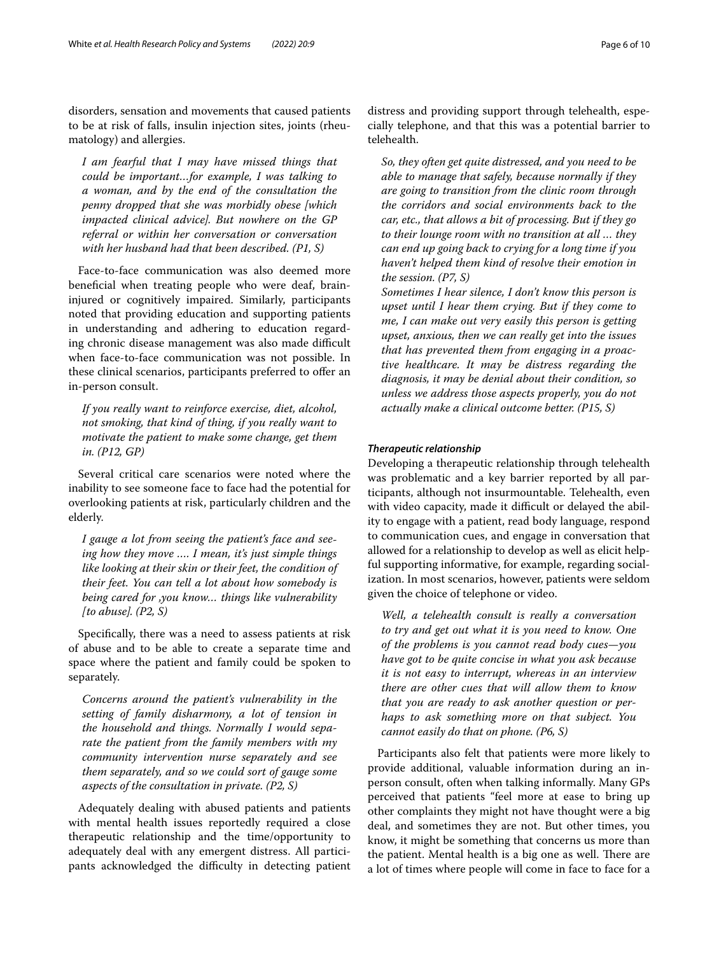disorders, sensation and movements that caused patients to be at risk of falls, insulin injection sites, joints (rheumatology) and allergies.

*I am fearful that I may have missed things that could be important…for example, I was talking to a woman, and by the end of the consultation the penny dropped that she was morbidly obese [which impacted clinical advice]. But nowhere on the GP referral or within her conversation or conversation with her husband had that been described. (P1, S)*

Face-to-face communication was also deemed more benefcial when treating people who were deaf, braininjured or cognitively impaired. Similarly, participants noted that providing education and supporting patients in understanding and adhering to education regarding chronic disease management was also made difficult when face-to-face communication was not possible. In these clinical scenarios, participants preferred to offer an in-person consult.

*If you really want to reinforce exercise, diet, alcohol, not smoking, that kind of thing, if you really want to motivate the patient to make some change, get them in. (P12, GP)*

Several critical care scenarios were noted where the inability to see someone face to face had the potential for overlooking patients at risk, particularly children and the elderly.

*I gauge a lot from seeing the patient's face and seeing how they move …. I mean, it's just simple things like looking at their skin or their feet, the condition of their feet. You can tell a lot about how somebody is being cared for ,you know… things like vulnerability [to abuse]. (P2, S)*

Specifcally, there was a need to assess patients at risk of abuse and to be able to create a separate time and space where the patient and family could be spoken to separately.

*Concerns around the patient's vulnerability in the setting of family disharmony, a lot of tension in the household and things. Normally I would separate the patient from the family members with my community intervention nurse separately and see them separately, and so we could sort of gauge some aspects of the consultation in private. (P2, S)*

Adequately dealing with abused patients and patients with mental health issues reportedly required a close therapeutic relationship and the time/opportunity to adequately deal with any emergent distress. All participants acknowledged the difficulty in detecting patient

distress and providing support through telehealth, especially telephone, and that this was a potential barrier to telehealth.

*So, they often get quite distressed, and you need to be able to manage that safely, because normally if they are going to transition from the clinic room through the corridors and social environments back to the car, etc., that allows a bit of processing. But if they go to their lounge room with no transition at all … they can end up going back to crying for a long time if you haven't helped them kind of resolve their emotion in the session. (P7, S)*

*Sometimes I hear silence, I don't know this person is upset until I hear them crying. But if they come to me, I can make out very easily this person is getting upset, anxious, then we can really get into the issues that has prevented them from engaging in a proactive healthcare. It may be distress regarding the diagnosis, it may be denial about their condition, so unless we address those aspects properly, you do not actually make a clinical outcome better. (P15, S)*

#### *Therapeutic relationship*

Developing a therapeutic relationship through telehealth was problematic and a key barrier reported by all participants, although not insurmountable. Telehealth, even with video capacity, made it difficult or delayed the ability to engage with a patient, read body language, respond to communication cues, and engage in conversation that allowed for a relationship to develop as well as elicit helpful supporting informative, for example, regarding socialization. In most scenarios, however, patients were seldom given the choice of telephone or video.

*Well, a telehealth consult is really a conversation to try and get out what it is you need to know. One of the problems is you cannot read body cues—you have got to be quite concise in what you ask because it is not easy to interrupt, whereas in an interview there are other cues that will allow them to know that you are ready to ask another question or perhaps to ask something more on that subject. You cannot easily do that on phone. (P6, S)*

Participants also felt that patients were more likely to provide additional, valuable information during an inperson consult, often when talking informally. Many GPs perceived that patients "feel more at ease to bring up other complaints they might not have thought were a big deal, and sometimes they are not. But other times, you know, it might be something that concerns us more than the patient. Mental health is a big one as well. There are a lot of times where people will come in face to face for a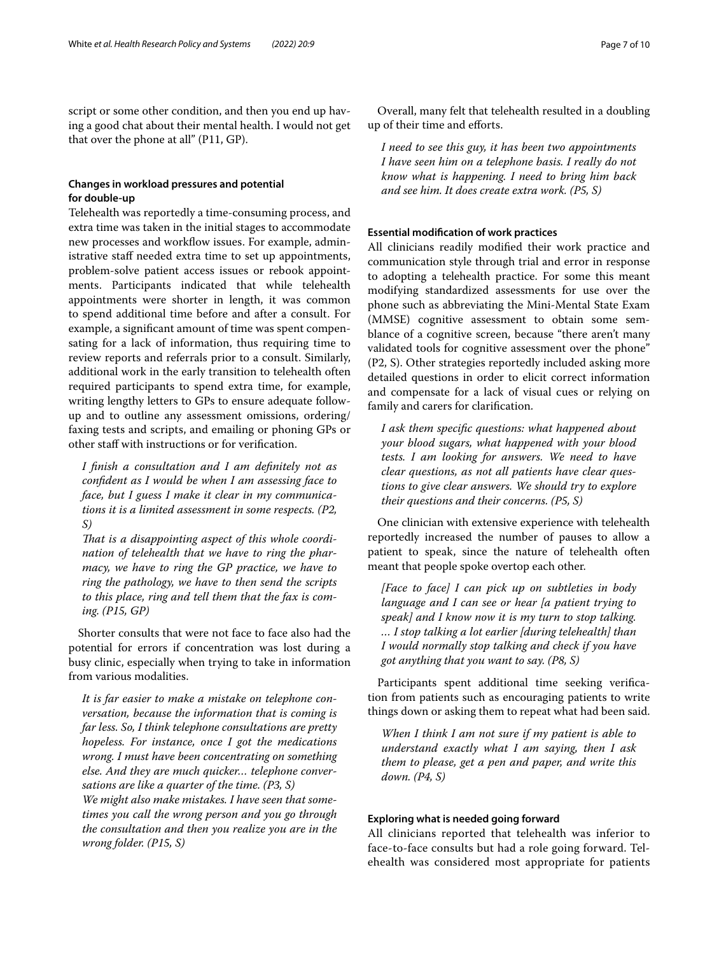script or some other condition, and then you end up having a good chat about their mental health. I would not get that over the phone at all" (P11, GP).

# **Changes in workload pressures and potential for double‑up**

Telehealth was reportedly a time-consuming process, and extra time was taken in the initial stages to accommodate new processes and workflow issues. For example, administrative staff needed extra time to set up appointments, problem-solve patient access issues or rebook appointments. Participants indicated that while telehealth appointments were shorter in length, it was common to spend additional time before and after a consult. For example, a signifcant amount of time was spent compensating for a lack of information, thus requiring time to review reports and referrals prior to a consult. Similarly, additional work in the early transition to telehealth often required participants to spend extra time, for example, writing lengthy letters to GPs to ensure adequate followup and to outline any assessment omissions, ordering/ faxing tests and scripts, and emailing or phoning GPs or other staf with instructions or for verifcation.

*I fnish a consultation and I am defnitely not as confdent as I would be when I am assessing face to face, but I guess I make it clear in my communications it is a limited assessment in some respects. (P2, S)*

That is a disappointing aspect of this whole coordi*nation of telehealth that we have to ring the pharmacy, we have to ring the GP practice, we have to ring the pathology, we have to then send the scripts to this place, ring and tell them that the fax is coming. (P15, GP)*

Shorter consults that were not face to face also had the potential for errors if concentration was lost during a busy clinic, especially when trying to take in information from various modalities.

*It is far easier to make a mistake on telephone conversation, because the information that is coming is far less. So, I think telephone consultations are pretty hopeless. For instance, once I got the medications wrong. I must have been concentrating on something else. And they are much quicker… telephone conversations are like a quarter of the time. (P3, S) We might also make mistakes. I have seen that sometimes you call the wrong person and you go through the consultation and then you realize you are in the wrong folder. (P15, S)*

Overall, many felt that telehealth resulted in a doubling up of their time and eforts.

*I need to see this guy, it has been two appointments I have seen him on a telephone basis. I really do not know what is happening. I need to bring him back and see him. It does create extra work. (P5, S)*

#### **Essential modifcation of work practices**

All clinicians readily modifed their work practice and communication style through trial and error in response to adopting a telehealth practice. For some this meant modifying standardized assessments for use over the phone such as abbreviating the Mini-Mental State Exam (MMSE) cognitive assessment to obtain some semblance of a cognitive screen, because "there aren't many validated tools for cognitive assessment over the phone" (P2, S). Other strategies reportedly included asking more detailed questions in order to elicit correct information and compensate for a lack of visual cues or relying on family and carers for clarifcation.

*I ask them specifc questions: what happened about your blood sugars, what happened with your blood tests. I am looking for answers. We need to have clear questions, as not all patients have clear questions to give clear answers. We should try to explore their questions and their concerns. (P5, S)*

One clinician with extensive experience with telehealth reportedly increased the number of pauses to allow a patient to speak, since the nature of telehealth often meant that people spoke overtop each other.

*[Face to face] I can pick up on subtleties in body language and I can see or hear [a patient trying to speak] and I know now it is my turn to stop talking. … I stop talking a lot earlier [during telehealth] than I would normally stop talking and check if you have got anything that you want to say. (P8, S)*

Participants spent additional time seeking verifcation from patients such as encouraging patients to write things down or asking them to repeat what had been said.

*When I think I am not sure if my patient is able to understand exactly what I am saying, then I ask them to please, get a pen and paper, and write this down. (P4, S)*

#### **Exploring what is needed going forward**

All clinicians reported that telehealth was inferior to face-to-face consults but had a role going forward. Telehealth was considered most appropriate for patients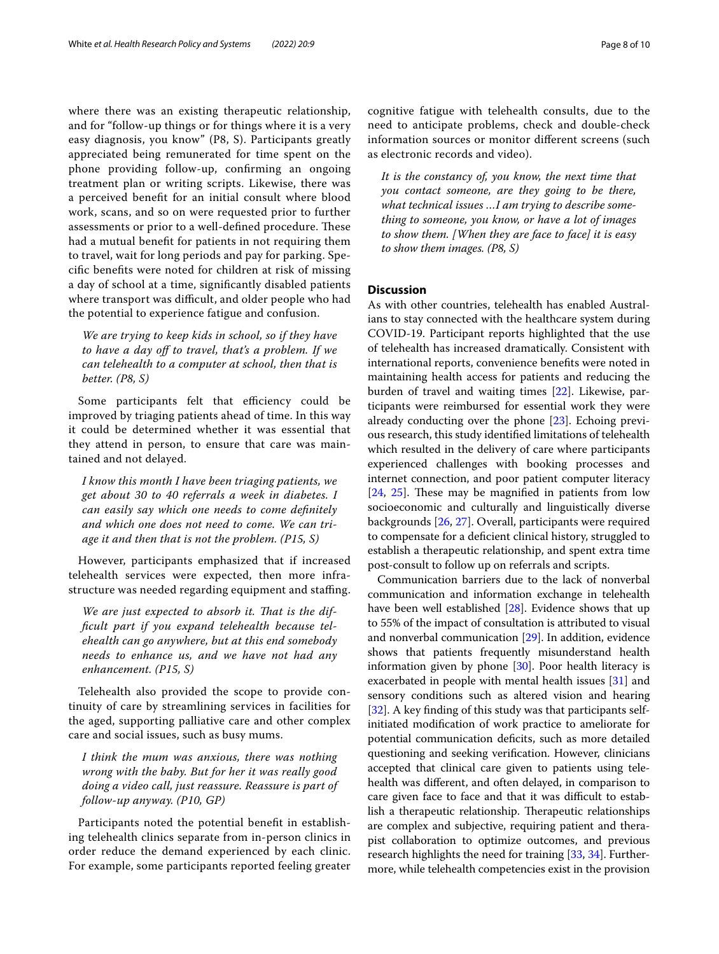where there was an existing therapeutic relationship, and for "follow-up things or for things where it is a very easy diagnosis, you know" (P8, S). Participants greatly appreciated being remunerated for time spent on the phone providing follow-up, confrming an ongoing treatment plan or writing scripts. Likewise, there was a perceived beneft for an initial consult where blood work, scans, and so on were requested prior to further assessments or prior to a well-defined procedure. These had a mutual beneft for patients in not requiring them to travel, wait for long periods and pay for parking. Specifc benefts were noted for children at risk of missing a day of school at a time, signifcantly disabled patients where transport was difficult, and older people who had the potential to experience fatigue and confusion.

*We are trying to keep kids in school, so if they have to have a day of to travel, that's a problem. If we can telehealth to a computer at school, then that is better. (P8, S)*

Some participants felt that efficiency could be improved by triaging patients ahead of time. In this way it could be determined whether it was essential that they attend in person, to ensure that care was maintained and not delayed.

*I know this month I have been triaging patients, we get about 30 to 40 referrals a week in diabetes. I can easily say which one needs to come defnitely and which one does not need to come. We can triage it and then that is not the problem. (P15, S)*

However, participants emphasized that if increased telehealth services were expected, then more infrastructure was needed regarding equipment and staffing.

We are just expected to absorb it. That is the dif*fcult part if you expand telehealth because telehealth can go anywhere, but at this end somebody needs to enhance us, and we have not had any enhancement. (P15, S)*

Telehealth also provided the scope to provide continuity of care by streamlining services in facilities for the aged, supporting palliative care and other complex care and social issues, such as busy mums.

*I think the mum was anxious, there was nothing wrong with the baby. But for her it was really good doing a video call, just reassure. Reassure is part of follow-up anyway. (P10, GP)*

Participants noted the potential beneft in establishing telehealth clinics separate from in-person clinics in order reduce the demand experienced by each clinic. For example, some participants reported feeling greater cognitive fatigue with telehealth consults, due to the need to anticipate problems, check and double-check information sources or monitor diferent screens (such as electronic records and video).

*It is the constancy of, you know, the next time that you contact someone, are they going to be there, what technical issues …I am trying to describe something to someone, you know, or have a lot of images to show them. [When they are face to face] it is easy to show them images. (P8, S)*

## **Discussion**

As with other countries, telehealth has enabled Australians to stay connected with the healthcare system during COVID-19. Participant reports highlighted that the use of telehealth has increased dramatically. Consistent with international reports, convenience benefts were noted in maintaining health access for patients and reducing the burden of travel and waiting times [\[22](#page-9-19)]. Likewise, participants were reimbursed for essential work they were already conducting over the phone [\[23](#page-9-20)]. Echoing previous research, this study identifed limitations of telehealth which resulted in the delivery of care where participants experienced challenges with booking processes and internet connection, and poor patient computer literacy  $[24, 25]$  $[24, 25]$  $[24, 25]$  $[24, 25]$ . These may be magnified in patients from low socioeconomic and culturally and linguistically diverse backgrounds [[26,](#page-9-23) [27](#page-9-24)]. Overall, participants were required to compensate for a defcient clinical history, struggled to establish a therapeutic relationship, and spent extra time post-consult to follow up on referrals and scripts.

Communication barriers due to the lack of nonverbal communication and information exchange in telehealth have been well established [[28](#page-9-25)]. Evidence shows that up to 55% of the impact of consultation is attributed to visual and nonverbal communication [\[29](#page-9-26)]. In addition, evidence shows that patients frequently misunderstand health information given by phone [[30\]](#page-9-27). Poor health literacy is exacerbated in people with mental health issues [[31](#page-9-28)] and sensory conditions such as altered vision and hearing [[32\]](#page-9-29). A key finding of this study was that participants selfinitiated modifcation of work practice to ameliorate for potential communication deficits, such as more detailed questioning and seeking verifcation. However, clinicians accepted that clinical care given to patients using telehealth was diferent, and often delayed, in comparison to care given face to face and that it was difficult to establish a therapeutic relationship. Therapeutic relationships are complex and subjective, requiring patient and therapist collaboration to optimize outcomes, and previous research highlights the need for training [[33,](#page-9-30) [34\]](#page-9-31). Furthermore, while telehealth competencies exist in the provision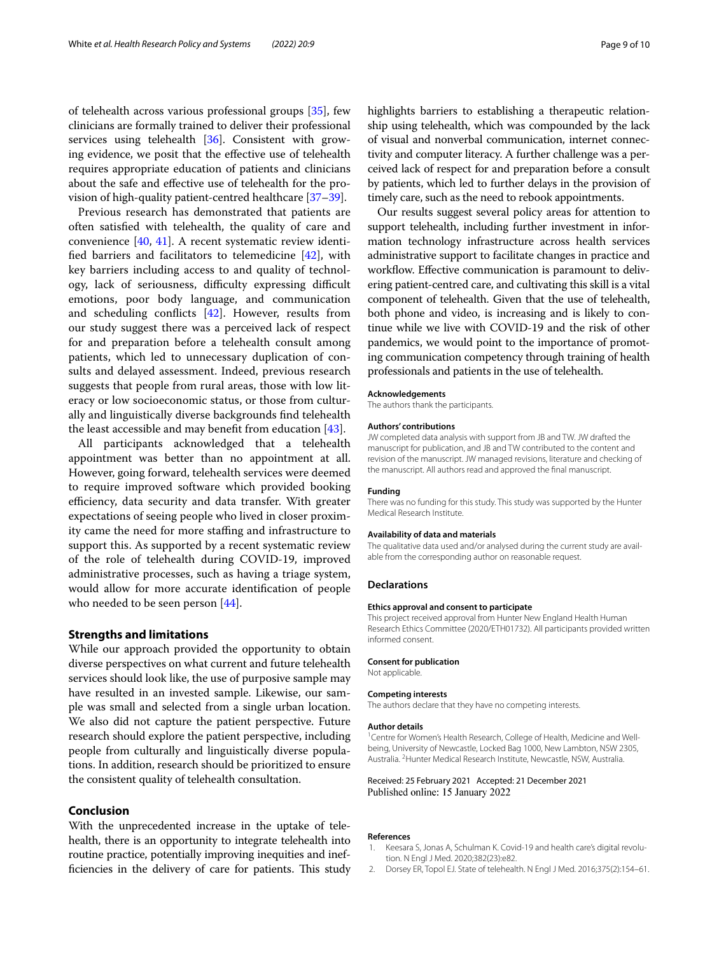of telehealth across various professional groups [[35\]](#page-9-32), few clinicians are formally trained to deliver their professional services using telehealth [[36](#page-9-33)]. Consistent with growing evidence, we posit that the efective use of telehealth requires appropriate education of patients and clinicians about the safe and efective use of telehealth for the provision of high-quality patient-centred healthcare [[37](#page-9-34)[–39](#page-9-35)].

Previous research has demonstrated that patients are often satisfed with telehealth, the quality of care and convenience [[40,](#page-9-36) [41\]](#page-9-37). A recent systematic review identifed barriers and facilitators to telemedicine [[42](#page-9-38)], with key barriers including access to and quality of technology, lack of seriousness, difficulty expressing difficult emotions, poor body language, and communication and scheduling conflicts  $[42]$  $[42]$ . However, results from our study suggest there was a perceived lack of respect for and preparation before a telehealth consult among patients, which led to unnecessary duplication of consults and delayed assessment. Indeed, previous research suggests that people from rural areas, those with low literacy or low socioeconomic status, or those from culturally and linguistically diverse backgrounds fnd telehealth the least accessible and may beneft from education [\[43](#page-9-39)].

All participants acknowledged that a telehealth appointment was better than no appointment at all. However, going forward, telehealth services were deemed to require improved software which provided booking efficiency, data security and data transfer. With greater expectations of seeing people who lived in closer proximity came the need for more stafng and infrastructure to support this. As supported by a recent systematic review of the role of telehealth during COVID-19, improved administrative processes, such as having a triage system, would allow for more accurate identifcation of people who needed to be seen person [\[44](#page-9-40)].

#### **Strengths and limitations**

While our approach provided the opportunity to obtain diverse perspectives on what current and future telehealth services should look like, the use of purposive sample may have resulted in an invested sample. Likewise, our sample was small and selected from a single urban location. We also did not capture the patient perspective. Future research should explore the patient perspective, including people from culturally and linguistically diverse populations. In addition, research should be prioritized to ensure the consistent quality of telehealth consultation.

## **Conclusion**

With the unprecedented increase in the uptake of telehealth, there is an opportunity to integrate telehealth into routine practice, potentially improving inequities and inefficiencies in the delivery of care for patients. This study highlights barriers to establishing a therapeutic relationship using telehealth, which was compounded by the lack of visual and nonverbal communication, internet connectivity and computer literacy. A further challenge was a perceived lack of respect for and preparation before a consult by patients, which led to further delays in the provision of timely care, such as the need to rebook appointments.

Our results suggest several policy areas for attention to support telehealth, including further investment in information technology infrastructure across health services administrative support to facilitate changes in practice and workflow. Effective communication is paramount to delivering patient-centred care, and cultivating this skill is a vital component of telehealth. Given that the use of telehealth, both phone and video, is increasing and is likely to continue while we live with COVID-19 and the risk of other pandemics, we would point to the importance of promoting communication competency through training of health professionals and patients in the use of telehealth.

#### **Acknowledgements**

The authors thank the participants.

#### **Authors' contributions**

JW completed data analysis with support from JB and TW. JW drafted the manuscript for publication, and JB and TW contributed to the content and revision of the manuscript. JW managed revisions, literature and checking of the manuscript. All authors read and approved the fnal manuscript.

#### **Funding**

There was no funding for this study. This study was supported by the Hunter Medical Research Institute.

#### **Availability of data and materials**

The qualitative data used and/or analysed during the current study are available from the corresponding author on reasonable request.

#### **Declarations**

#### **Ethics approval and consent to participate**

This project received approval from Hunter New England Health Human Research Ethics Committee (2020/ETH01732). All participants provided written informed consent.

#### **Consent for publication**

Not applicable.

#### **Competing interests**

The authors declare that they have no competing interests.

#### **Author details**

<sup>1</sup> Centre for Women's Health Research, College of Health, Medicine and Wellbeing, University of Newcastle, Locked Bag 1000, New Lambton, NSW 2305, Australia. <sup>2</sup> Hunter Medical Research Institute, Newcastle, NSW, Australia.

#### Received: 25 February 2021 Accepted: 21 December 2021 Published online: 15 January 2022

#### **References**

- <span id="page-8-0"></span>Keesara S, Jonas A, Schulman K. Covid-19 and health care's digital revolution. N Engl J Med. 2020;382(23):e82.
- <span id="page-8-1"></span>2. Dorsey ER, Topol EJ. State of telehealth. N Engl J Med. 2016;375(2):154–61.